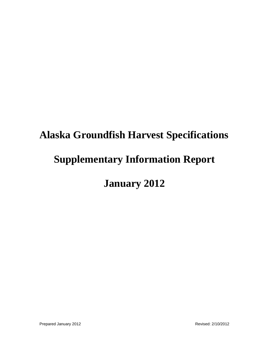# **Alaska Groundfish Harvest Specifications Supplementary Information Report January 2012**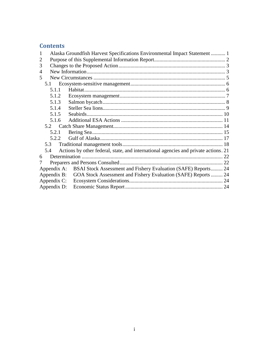# **Contents**

|             | Alaska Groundfish Harvest Specifications Environmental Impact Statement  1 |                                                                                     |    |  |  |
|-------------|----------------------------------------------------------------------------|-------------------------------------------------------------------------------------|----|--|--|
| 2           |                                                                            |                                                                                     |    |  |  |
| 3           |                                                                            |                                                                                     |    |  |  |
| 4           |                                                                            |                                                                                     |    |  |  |
| 5           |                                                                            |                                                                                     |    |  |  |
| 5.1         |                                                                            |                                                                                     |    |  |  |
|             | 5.1.1                                                                      |                                                                                     |    |  |  |
|             | 5.1.2                                                                      |                                                                                     |    |  |  |
|             | 5.1.3                                                                      |                                                                                     |    |  |  |
|             | 5.1.4                                                                      |                                                                                     |    |  |  |
|             | 5.1.5                                                                      |                                                                                     |    |  |  |
|             | 5.1.6                                                                      |                                                                                     |    |  |  |
|             |                                                                            |                                                                                     |    |  |  |
|             | 5.2.1                                                                      |                                                                                     |    |  |  |
|             | 5.2.2                                                                      |                                                                                     |    |  |  |
|             | 5.3                                                                        |                                                                                     |    |  |  |
| 5.4         |                                                                            | Actions by other federal, state, and international agencies and private actions. 21 |    |  |  |
| 6           |                                                                            |                                                                                     | 22 |  |  |
|             |                                                                            |                                                                                     |    |  |  |
|             |                                                                            | Appendix A: BSAI Stock Assessment and Fishery Evaluation (SAFE) Reports 24          |    |  |  |
| Appendix B: |                                                                            | GOA Stock Assessment and Fishery Evaluation (SAFE) Reports 24                       |    |  |  |
| Appendix C: |                                                                            |                                                                                     |    |  |  |
| Appendix D: |                                                                            |                                                                                     |    |  |  |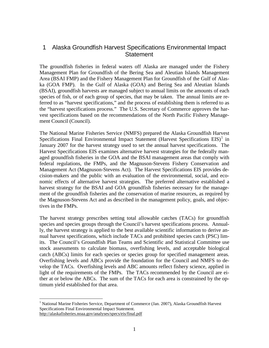# <span id="page-2-0"></span>1 Alaska Groundfish Harvest Specifications Environmental Impact **Statement**

The groundfish fisheries in federal waters off Alaska are managed under the Fishery Management Plan for Groundfish of the Bering Sea and Aleutian Islands Management Area (BSAI FMP) and the Fishery Management Plan for Groundfish of the Gulf of Alaska (GOA FMP). In the Gulf of Alaska (GOA) and Bering Sea and Aleutian Islands (BSAI), groundfish harvests are managed subject to annual limits on the amounts of each species of fish, or of each group of species, that may be taken. The annual limits are referred to as "harvest specifications," and the process of establishing them is referred to as the "harvest specifications process." The U.S. Secretary of Commerce approves the harvest specifications based on the recommendations of the North Pacific Fishery Management Council (Council).

The National Marine Fisheries Service (NMFS) prepared the Alaska Groundfish Harvest Specifications Final Environmental Impact Statement (Harvest Specifications  $EIS$ )<sup>[1](#page-2-1)</sup> in January 2007 for the harvest strategy used to set the annual harvest specifications. The Harvest Specifications EIS examines alternative harvest strategies for the federally managed groundfish fisheries in the GOA and the BSAI management areas that comply with federal regulations, the FMPs, and the Magnuson-Stevens Fishery Conservation and Management Act (Magnuson-Stevens Act). The Harvest Specifications EIS provides decision-makers and the public with an evaluation of the environmental, social, and economic effects of alternative harvest strategies. The preferred alternative established a harvest strategy for the BSAI and GOA groundfish fisheries necessary for the management of the groundfish fisheries and the conservation of marine resources, as required by the Magnuson-Stevens Act and as described in the management policy, goals, and objectives in the FMPs.

The harvest strategy prescribes setting total allowable catches (TACs) for groundfish species and species groups through the Council's harvest specifications process. Annually, the harvest strategy is applied to the best available scientific information to derive annual harvest specifications, which include TACs and prohibited species catch (PSC) limits. The Council's Groundfish Plan Teams and Scientific and Statistical Committee use stock assessments to calculate biomass, overfishing levels, and acceptable biological catch (ABCs) limits for each species or species group for specified management areas. Overfishing levels and ABCs provide the foundation for the Council and NMFS to develop the TACs. Overfishing levels and ABC amounts reflect fishery science, applied in light of the requirements of the FMPs. The TACs recommended by the Council are either at or below the ABCs. The sum of the TACs for each area is constrained by the optimum yield established for that area.

<span id="page-2-1"></span> $\overline{a}$ <sup>1</sup> National Marine Fisheries Service, Department of Commerce (Jan. 2007), Alaska Groundfish Harvest Specifications Final Environmental Impact Statement. http://alaskafisheries.noaa.gov/analyses/specs/eis/final.pdf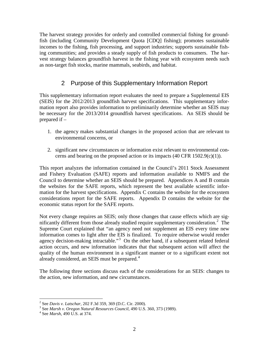The harvest strategy provides for orderly and controlled commercial fishing for groundfish (including Community Development Quota [CDQ] fishing); promotes sustainable incomes to the fishing, fish processing, and support industries; supports sustainable fishing communities; and provides a steady supply of fish products to consumers. The harvest strategy balances groundfish harvest in the fishing year with ecosystem needs such as non-target fish stocks, marine mammals, seabirds, and habitat.

# 2 Purpose of this Supplementary Information Report

<span id="page-3-0"></span>This supplementary information report evaluates the need to prepare a Supplemental EIS (SEIS) for the 2012/2013 groundfish harvest specifications. This supplementary information report also provides information to preliminarily determine whether an SEIS may be necessary for the 2013/2014 groundfish harvest specifications. An SEIS should be prepared if –

- 1. the agency makes substantial changes in the proposed action that are relevant to environmental concerns, or
- 2. significant new circumstances or information exist relevant to environmental concerns and bearing on the proposed action or its impacts  $(40 \text{ CFR } 1502.9(c)(1))$ .

This report analyzes the information contained in the Council's 2011 Stock Assessment and Fishery Evaluation (SAFE) reports and information available to NMFS and the Council to determine whether an SEIS should be prepared. Appendices A and B contain the websites for the SAFE reports, which represent the best available scientific information for the harvest specifications. Appendix C contains the website for the ecosystem considerations report for the SAFE reports. Appendix D contains the website for the economic status report for the SAFE reports.

Not every change requires an SEIS; only those changes that cause effects which are sig-nificantly different from those already studied require supplementary consideration.<sup>[2](#page-3-1)</sup> The Supreme Court explained that "an agency need not supplement an EIS every time new information comes to light after the EIS is finalized. To require otherwise would render agency decision-making intractable."<sup>[3](#page-3-2)</sup> On the other hand, if a subsequent related federal action occurs, and new information indicates that that subsequent action will affect the quality of the human environment in a significant manner or to a significant extent not already considered, an SEIS must be prepared.<sup>[4](#page-3-3)</sup>

The following three sections discuss each of the considerations for an SEIS: changes to the action, new information, and new circumstances.

<span id="page-3-1"></span><sup>&</sup>lt;sup>2</sup> See Davis v. Latschar, 202 F.3d 359, 369 (D.C. Cir. 2000).

<span id="page-3-2"></span><sup>&</sup>lt;sup>2</sup> See *Davis v. Latischar, 202 F. 102 E.17, 202* (2000). 3 See *Marsh v. Oregon Natural Resources Council*, 490 U.S. 360, 373 (1989). 4 See *Marsh*, 490 U.S. at 374.

<span id="page-3-3"></span>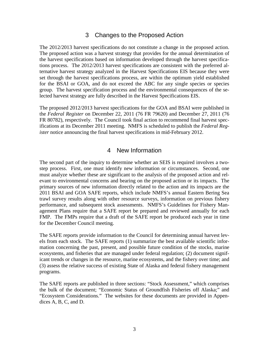## 3 Changes to the Proposed Action

<span id="page-4-0"></span>The 2012/2013 harvest specifications do not constitute a change in the proposed action. The proposed action was a harvest strategy that provides for the annual determination of the harvest specifications based on information developed through the harvest specifications process. The 2012/2013 harvest specifications are consistent with the preferred alternative harvest strategy analyzed in the Harvest Specifications EIS because they were set through the harvest specifications process, are within the optimum yield established for the BSAI or GOA, and do not exceed the ABC for any single species or species group. The harvest specification process and the environmental consequences of the selected harvest strategy are fully described in the Harvest Specifications EIS.

The proposed 2012/2013 harvest specifications for the GOA and BSAI were published in the *Federal Register* on December 22, 2011 (76 FR 79620) and December 27, 2011 (76 FR 80782), respectively. The Council took final action to recommend final harvest specifications at its December 2011 meeting. NMFS is scheduled to publish the *Federal Register* notice announcing the final harvest specifications in mid-February 2012.

# 4 New Information

<span id="page-4-1"></span>The second part of the inquiry to determine whether an SEIS is required involves a twostep process. First, one must identify new information or circumstances. Second, one must analyze whether these are significant to the analysis of the proposed action and relevant to environmental concerns and bearing on the proposed action or its impacts. The primary sources of new information directly related to the action and its impacts are the 2011 BSAI and GOA SAFE reports, which include NMFS's annual Eastern Bering Sea trawl survey results along with other resource surveys, information on previous fishery performance, and subsequent stock assessments. NMFS's Guidelines for Fishery Management Plans require that a SAFE report be prepared and reviewed annually for each FMP. The FMPs require that a draft of the SAFE report be produced each year in time for the December Council meeting.

The SAFE reports provide information to the Council for determining annual harvest levels from each stock. The SAFE reports (1) summarize the best available scientific information concerning the past, present, and possible future condition of the stocks, marine ecosystems, and fisheries that are managed under federal regulation; (2) document significant trends or changes in the resource, marine ecosystems, and the fishery over time; and (3) assess the relative success of existing State of Alaska and federal fishery management programs.

The SAFE reports are published in three sections: "Stock Assessment," which comprises the bulk of the document; "Economic Status of Groundfish Fisheries off Alaska;" and "Ecosystem Considerations." The websites for these documents are provided in Appendices A, B, C, and D.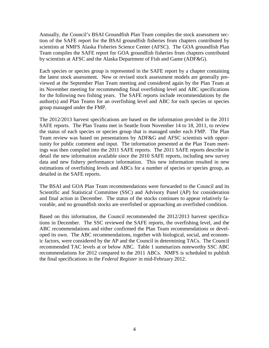Annually, the Council's BSAI Groundfish Plan Team compiles the stock assessment section of the SAFE report for the BSAI groundfish fisheries from chapters contributed by scientists at NMFS Alaska Fisheries Science Center (AFSC). The GOA groundfish Plan Team compiles the SAFE report for GOA groundfish fisheries from chapters contributed by scientists at AFSC and the Alaska Department of Fish and Game (ADF&G).

Each species or species group is represented in the SAFE report by a chapter containing the latest stock assessment. New or revised stock assessment models are generally previewed at the September Plan Team meeting and considered again by the Plan Team at its November meeting for recommending final overfishing level and ABC specifications for the following two fishing years. The SAFE reports include recommendations by the author(s) and Plan Teams for an overfishing level and ABC for each species or species group managed under the FMP.

The 2012/2013 harvest specifications are based on the information provided in the 2011 SAFE reports. The Plan Teams met in Seattle from November 14 to 18, 2011, to review the status of each species or species group that is managed under each FMP. The Plan Team review was based on presentations by ADF&G and AFSC scientists with opportunity for public comment and input. The information presented at the Plan Team meetings was then compiled into the 2011 SAFE reports. The 2011 SAFE reports describe in detail the new information available since the 2010 SAFE reports, including new survey data and new fishery performance information. This new information resulted in new estimations of overfishing levels and ABCs for a number of species or species group, as detailed in the SAFE reports.

The BSAI and GOA Plan Team recommendations were forwarded to the Council and its Scientific and Statistical Committee (SSC) and Advisory Panel (AP) for consideration and final action in December. The status of the stocks continues to appear relatively favorable, and no groundfish stocks are overfished or approaching an overfished condition.

Based on this information, the Council recommended the 2012/2013 harvest specifications in December. The SSC reviewed the SAFE reports, the overfishing level, and the ABC recommendations and either confirmed the Plan Team recommendations or developed its own. The ABC recommendations, together with biological, social, and economic factors, were considered by the AP and the Council in determining TACs. The Council recommended TAC levels at or below ABC. Table 1 summarizes noteworthy SSC ABC recommendations for 2012 compared to the 2011 ABCs. NMFS is scheduled to publish the final specifications in the *Federal Register* in mid-February 2012.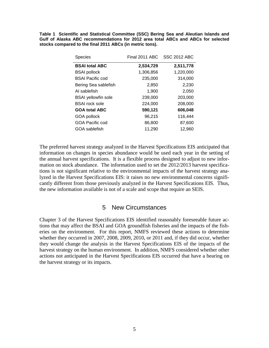**Table 1 Scientific and Statistical Committee (SSC) Bering Sea and Aleutian Islands and Gulf of Alaska ABC recommendations for 2012 area total ABCs and ABCs for selected stocks compared to the final 2011 ABCs (in metric tons).** 

| <b>Species</b>             | Final 2011 ABC | <b>SSC 2012 ABC</b> |
|----------------------------|----------------|---------------------|
| <b>BSAI total ABC</b>      | 2,534,729      | 2,511,778           |
| <b>BSAI</b> pollock        | 1,306,856      | 1,220,000           |
| <b>BSAI Pacific cod</b>    | 235,000        | 314,000             |
| Bering Sea sablefish       | 2,850          | 2,230               |
| AI sablefish               | 1,900          | 2,050               |
| <b>BSAI</b> yellowfin sole | 239,000        | 203,000             |
| <b>BSAI</b> rock sole      | 224,000        | 208,000             |
| <b>GOA total ABC</b>       | 590,121        | 606,048             |
| <b>GOA pollock</b>         | 96,215         | 116,444             |
| GOA Pacific cod            | 86,800         | 87,600              |
| GOA sablefish              | 11,290         | 12,960              |

The preferred harvest strategy analyzed in the Harvest Specifications EIS anticipated that information on changes in species abundance would be used each year in the setting of the annual harvest specifications. It is a flexible process designed to adjust to new information on stock abundance. The information used to set the 2012/2013 harvest specifications is not significant relative to the environmental impacts of the harvest strategy analyzed in the Harvest Specifications EIS: it raises no new environmental concerns significantly different from those previously analyzed in the Harvest Specifications EIS. Thus, the new information available is not of a scale and scope that require an SEIS.

## 5 New Circumstances

<span id="page-6-0"></span>Chapter 3 of the Harvest Specifications EIS identified reasonably foreseeable future actions that may affect the BSAI and GOA groundfish fisheries and the impacts of the fisheries on the environment. For this report, NMFS reviewed these actions to determine whether they occurred in 2007, 2008, 2009, 2010, or 2011 and, if they did occur, whether they would change the analysis in the Harvest Specifications EIS of the impacts of the harvest strategy on the human environment. In addition, NMFS considered whether other actions not anticipated in the Harvest Specifications EIS occurred that have a bearing on the harvest strategy or its impacts.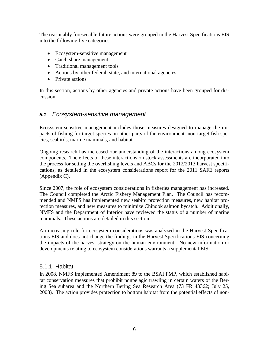The reasonably foreseeable future actions were grouped in the Harvest Specifications EIS into the following five categories:

- Ecosystem-sensitive management
- Catch share management
- Traditional management tools
- Actions by other federal, state, and international agencies
- Private actions

In this section, actions by other agencies and private actions have been grouped for discussion.

## <span id="page-7-0"></span>*5.1 Ecosystem-sensitive management*

Ecosystem-sensitive management includes those measures designed to manage the impacts of fishing for target species on other parts of the environment: non-target fish species, seabirds, marine mammals, and habitat.

Ongoing research has increased our understanding of the interactions among ecosystem components. The effects of these interactions on stock assessments are incorporated into the process for setting the overfishing levels and ABCs for the 2012/2013 harvest specifications, as detailed in the ecosystem considerations report for the 2011 SAFE reports (Appendix C).

Since 2007, the role of ecosystem considerations in fisheries management has increased. The Council completed the Arctic Fishery Management Plan. The Council has recommended and NMFS has implemented new seabird protection measures, new habitat protection measures, and new measures to minimize Chinook salmon bycatch. Additionally, NMFS and the Department of Interior have reviewed the status of a number of marine mammals. These actions are detailed in this section.

An increasing role for ecosystem considerations was analyzed in the Harvest Specifications EIS and does not change the findings in the Harvest Specifications EIS concerning the impacts of the harvest strategy on the human environment. No new information or developments relating to ecosystem considerations warrants a supplemental EIS.

#### <span id="page-7-1"></span>5.1.1 Habitat

In 2008, NMFS implemented Amendment 89 to the BSAI FMP, which established habitat conservation measures that prohibit nonpelagic trawling in certain waters of the Bering Sea subarea and the Northern Bering Sea Research Area (73 FR 43362; July 25, 2008). The action provides protection to bottom habitat from the potential effects of non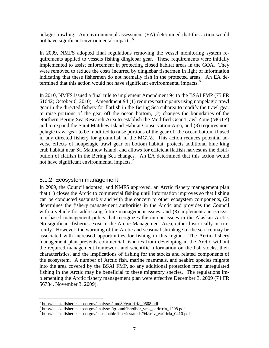pelagic trawling. An environmental assessment (EA) determined that this action would not have significant environmental impacts.<sup>[5](#page-8-1)</sup>

In 2009, NMFS adopted final regulations removing the vessel monitoring system requirements applied to vessels fishing dinglebar gear. These requirements were initially implemented to assist enforcement in protecting closed habitat areas in the GOA. They were removed to reduce the costs incurred by dinglebar fishermen in light of information indicating that these fishermen do not normally fish in the protected areas. An EA de-termined that this action would not have significant environmental impacts.<sup>[6](#page-8-2)</sup>

In 2010, NMFS issued a final rule to implement Amendment 94 to the BSAI FMP (75 FR 61642; October 6, 2010). Amendment 94 (1) requires participants using nonpelagic trawl gear in the directed fishery for flatfish in the Bering Sea subarea to modify the trawl gear to raise portions of the gear off the ocean bottom, (2) changes the boundaries of the Northern Bering Sea Research Area to establish the Modified Gear Trawl Zone (MGTZ) and to expand the Saint Matthew Island Habitat Conservation Area, and (3) requires nonpelagic trawl gear to be modified to raise portions of the gear off the ocean bottom if used in any directed fishery for groundfish in the MGTZ. This action reduces potential adverse effects of nonpelagic trawl gear on bottom habitat, protects additional blue king crab habitat near St. Matthew Island, and allows for efficient flatfish harvest as the distribution of flatfish in the Bering Sea changes. An EA determined that this action would not have significant environmental impacts.<sup>[7](#page-8-3)</sup>

## <span id="page-8-0"></span>5.1.2 Ecosystem management

In 2009, the Council adopted, and NMFS approved, an Arctic fishery management plan that (1) closes the Arctic to commercial fishing until information improves so that fishing can be conducted sustainably and with due concern to other ecosystem components, (2) determines the fishery management authorities in the Arctic and provides the Council with a vehicle for addressing future management issues, and (3) implements an ecosystem based management policy that recognizes the unique issues in the Alaskan Arctic. No significant fisheries exist in the Arctic Management Area, either historically or currently. However, the warming of the Arctic and seasonal shrinkage of the sea ice may be associated with increased opportunities for fishing in this region. The Arctic fishery management plan prevents commercial fisheries from developing in the Arctic without the required management framework and scientific information on the fish stocks, their characteristics, and the implications of fishing for the stocks and related components of the ecosystem. A number of Arctic fish, marine mammals, and seabird species migrate into the area covered by the BSAI FMP, so any additional protection from unregulated fishing in the Arctic may be beneficial to these migratory species. The regulations implementing the Arctic fishery management plan were effective December 3, 2009 (74 FR 56734, November 3, 2009).

<span id="page-8-1"></span> $5$  http://alaskafisheries.noaa.gov/analyses/amd89/earirfrfa\_0508.pdf

<span id="page-8-2"></span> $\frac{\text{http://aaskatis/etcs.nouu.g.}}{\text{http://alaskafisheries.noaa.gov/analyses/groundfish/dbar} \cdot \text{vms\_earirfrfa\_1208.pdf}$ 

<span id="page-8-3"></span> $^7$  http://alaskafisheries.noaa.gov/sustainablefisheries/amds/94/srev\_earirirfa\_0410.pdf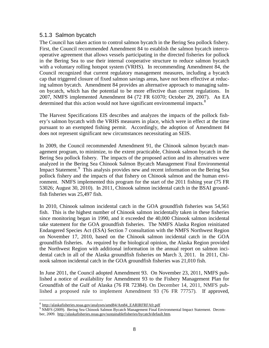#### <span id="page-9-0"></span>5.1.3 Salmon bycatch

The Council has taken action to control salmon bycatch in the Bering Sea pollock fishery. First, the Council recommended Amendment 84 to establish the salmon bycatch intercooperative agreement that allows vessels participating in the directed fisheries for pollock in the Bering Sea to use their internal cooperative structure to reduce salmon bycatch with a voluntary rolling hotspot system (VRHS). In recommending Amendment 84, the Council recognized that current regulatory management measures, including a bycatch cap that triggered closure of fixed salmon savings areas, have not been effective at reducing salmon bycatch. Amendment 84 provides an alternative approach to managing salmon bycatch, which has the potential to be more effective than current regulations. In 2007, NMFS implemented Amendment 84 (72 FR 61070; October 29, 2007). An EA determined that this action would not have significant environmental impacts.<sup>[8](#page-9-1)</sup>

The Harvest Specifications EIS describes and analyzes the impacts of the pollock fishery's salmon bycatch with the VRHS measures in place, which were in effect at the time pursuant to an exempted fishing permit. Accordingly, the adoption of Amendment 84 does not represent significant new circumstances necessitating an SEIS.

In 2009, the Council recommended Amendment 91, the Chinook salmon bycatch management program, to minimize, to the extent practicable, Chinook salmon bycatch in the Bering Sea pollock fishery. The impacts of the proposed action and its alternatives were analyzed in the Bering Sea Chinook Salmon Bycatch Management Final Environmental Impact Statement.<sup>[9](#page-9-2)</sup> This analysis provides new and recent information on the Bering Sea pollock fishery and the impacts of that fishery on Chinook salmon and the human environment. NMFS implemented this program for the start of the 2011 fishing year (75 FR 53026; August 30, 2010). In 2011, Chinook salmon incidental catch in the BSAI groundfish fisheries was 25,497 fish.

In 2010, Chinook salmon incidental catch in the GOA groundfish fisheries was 54,561 fish. This is the highest number of Chinook salmon incidentally taken in these fisheries since monitoring began in 1990, and it exceeded the 40,000 Chinook salmon incidental take statement for the GOA groundfish fisheries. The NMFS Alaska Region reinitiated Endangered Species Act (ESA) Section 7 consultation with the NMFS Northwest Region on November 17, 2010, based on the Chinook salmon incidental catch in the GOA groundfish fisheries. As required by the biological opinion, the Alaska Region provided the Northwest Region with additional information in the annual report on salmon incidental catch in all of the Alaska groundfish fisheries on March 3, 2011. In 2011, Chinook salmon incidental catch in the GOA groundfish fisheries was 21,010 fish.

In June 2011, the Council adopted Amendment 93. On November 23, 2011, NMFS published a notice of availability for Amendment 93 to the Fishery Management Plan for Groundfish of the Gulf of Alaska (76 FR 72384). On December 14, 2011, NMFS published a proposed rule to implement Amendment 93 (76 FR 77757). If approved,

 $\overline{a}$ 

<span id="page-9-2"></span><span id="page-9-1"></span><sup>&</sup>lt;sup>8</sup> http://alaskafisheries.noaa.gov/analyses/amd84/Am84\_EARIRFRFAfr.pdf<br><sup>9</sup> NMFS (2009). Bering Sea Chinook Salmon Bycatch Management Final Environmental Impact Statement. December, 2009. http://alaskafisheries.noaa.gov/sustainablefisheries/bycatch/default.htm.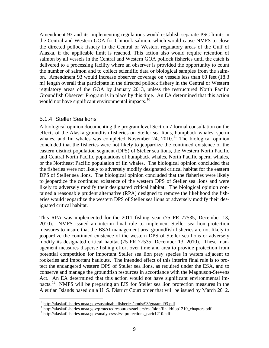Amendment 93 and its implementing regulations would establish separate PSC limits in the Central and Western GOA for Chinook salmon, which would cause NMFS to close the directed pollock fishery in the Central or Western regulatory areas of the Gulf of Alaska, if the applicable limit is reached. This action also would require retention of salmon by all vessels in the Central and Western GOA pollock fisheries until the catch is delivered to a processing facility where an observer is provided the opportunity to count the number of salmon and to collect scientific data or biological samples from the salmon. Amendment 93 would increase observer coverage on vessels less than 60 feet (18.3 m) length overall that participate in the directed pollock fishery in the Central or Western regulatory areas of the GOA by January 2013, unless the restructured North Pacific Groundfish Observer Program is in place by this time. An EA determined that this action would not have significant environmental impacts.<sup>[10](#page-10-1)</sup>

#### <span id="page-10-0"></span>5.1.4 Steller Sea lions

A biological opinion documenting the program level Section 7 formal consultation on the effects of the Alaska groundfish fisheries on Steller sea lions, humpback whales, sperm whales, and fin whales was completed November 24,  $2010$ .<sup>[11](#page-10-2)</sup> The biological opinion concluded that the fisheries were not likely to jeopardize the continued existence of the eastern distinct population segment (DPS) of Steller sea lions, the Western North Pacific and Central North Pacific populations of humpback whales, North Pacific sperm whales, or the Northeast Pacific population of fin whales. The biological opinion concluded that the fisheries were not likely to adversely modify designated critical habitat for the eastern DPS of Steller sea lions. The biological opinion concluded that the fisheries were likely to jeopardize the continued existence of the western DPS of Steller sea lions and were likely to adversely modify their designated critical habitat. The biological opinion contained a reasonable prudent alternative (RPA) designed to remove the likelihood the fisheries would jeopardize the western DPS of Steller sea lions or adversely modify their designated critical habitat.

This RPA was implemented for the 2011 fishing year (75 FR 77535; December 13, 2010). NMFS issued an interim final rule to implement Steller sea lion protection measures to insure that the BSAI management area groundfish fisheries are not likely to jeopardize the continued existence of the western DPS of Steller sea lions or adversely modify its designated critical habitat (75 FR 77535; December 13, 2010). These management measures disperse fishing effort over time and area to provide protection from potential competition for important Steller sea lion prey species in waters adjacent to rookeries and important haulouts. The intended effect of this interim final rule is to protect the endangered western DPS of Steller sea lions, as required under the ESA, and to conserve and manage the groundfish resources in accordance with the Magnuson-Stevens Act. An EA determined that this action would not have significant environmental im-pacts.<sup>[12](#page-10-3)</sup> NMFS will be preparing an EIS for Steller sea lion protection measures in the Aleutian Islands based on a U. S. District Court order that will be issued by March 2012.

<span id="page-10-1"></span> $10$  http://alaskafisheries.noaa.gov/sustainablefisheries/amds/93/goaamd93.pdf

<span id="page-10-3"></span><span id="page-10-2"></span> $\frac{11}{12}$  http://alaskafisheries.noaa.gov/protectedresources/stellers/esa/biop/final/biop1210 chapters.pdf<br> $\frac{12}{12}$  http://alaskafisheries.noaa.gov/analyses/ssl/sslprotections\_earir1210.pdf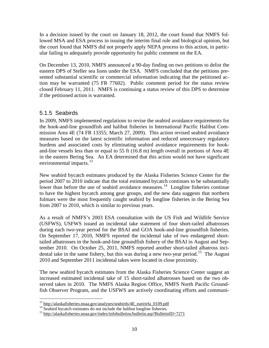In a decision issued by the court on January 18, 2012, the court found that NMFS followed MSA and ESA process in issuing the interim final rule and biological opinion, but the court found that NMFS did not properly apply NEPA process to this action, in particular failing to adequately provide opportunity for public comment on the EA.

On December 13, 2010, NMFS announced a 90-day finding on two petitions to delist the eastern DPS of Steller sea lions under the ESA. NMFS concluded that the petitions presented substantial scientific or commercial information indicating that the petitioned action may be warranted (75 FR 77602). Public comment period for the status review closed February 11, 2011. NMFS is continuing a status review of this DPS to determine if the petitioned action is warranted.

# <span id="page-11-0"></span>5.1.5 Seabirds

In 2009, NMFS implemented regulations to revise the seabird avoidance requirements for the hook-and-line groundfish and halibut fisheries in International Pacific Halibut Commission Area 4E (74 FR 13355; March 27, 2009). This action revised seabird avoidance measures based on the latest scientific information and reduced unnecessary regulatory burdens and associated costs by eliminating seabird avoidance requirements for hookand-line vessels less than or equal to 55 ft (16.8 m) length overall in portions of Area 4E in the eastern Bering Sea. An EA determined that this action would not have significant environmental impacts.<sup>[13](#page-11-1)</sup>

New seabird bycatch estimates produced by the Alaska Fisheries Science Center for the period 2007 to 2010 indicate that the total estimated bycatch continues to be substantially lower than before the use of seabird avoidance measures.<sup>14</sup> Longline fisheries continue to have the highest bycatch among gear groups, and the new data suggests that northern fulmars were the most frequently caught seabird by longline fisheries in the Bering Sea from 2007 to 2010, which is similar to previous years.

As a result of NMFS's 2003 ESA consultation with the US Fish and Wildlife Service (USFWS), USFWS issued an incidental take statement of four short-tailed albatrosses during each two-year period for the BSAI and GOA hook-and-line groundfish fisheries. On September 17, 2010, NMFS reported the incidental take of two endangered shorttailed albatrosses in the hook-and-line groundfish fishery of the BSAI in August and September 2010. On October 25, 2011, NMFS reported another short-tailed albatross inci-dental take in the same fishery, but this was during a new two-year period.<sup>[15](#page-11-3)</sup> The August 2010 and September 2011 incidental takes were located in close proximity.

The new seabird bycatch estimates from the Alaska Fisheries Science Center suggest an increased estimated incidental take of 15 short-tailed albatrosses based on the two observed takes in 2010. The NMFS Alaska Region Office, NMFS North Pacific Groundfish Observer Program, and the USFWS are actively coordinating efforts and communi-

<span id="page-11-1"></span> $13$  http://alaskafisheries.noaa.gov/analyses/seabirds/4E earirirfa 0109.pdf

<span id="page-11-3"></span><span id="page-11-2"></span><sup>&</sup>lt;sup>14</sup> Seabird bycatch estimates do not include the halibut longline fisheries.<br><sup>15</sup> http://alaskafisheries.noaa.gov/index/infobulletins/bulletin.asp?BulletinID=7271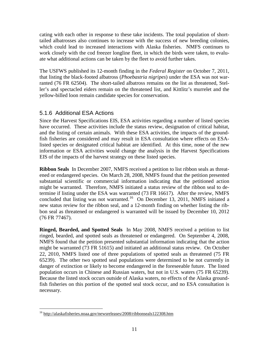cating with each other in response to these take incidents. The total population of shorttailed albatrosses also continues to increase with the success of new breeding colonies, which could lead to increased interactions with Alaska fisheries. NMFS continues to work closely with the cod freezer longline fleet, in which the birds were taken, to evaluate what additional actions can be taken by the fleet to avoid further takes.

The USFWS published its 12-month finding in the *Federal Register* on October 7, 2011, that listing the black-footed albatross (*Phoebastria nigripes*) under the ESA was not warranted (76 FR 62504). The short-tailed albatross remains on the list as threatened, Steller's and spectacled eiders remain on the threatened list, and Kittlitz's murrelet and the yellow-billed loon remain candidate species for conservation.

## <span id="page-12-0"></span>5.1.6 Additional ESA Actions

Since the Harvest Specifications EIS, ESA activities regarding a number of listed species have occurred. These activities include the status review, designation of critical habitat, and the listing of certain animals. With these ESA activities, the impacts of the groundfish fisheries are considered and may result in ESA consultation where effects on ESAlisted species or designated critical habitat are identified. At this time, none of the new information or ESA activities would change the analysis in the Harvest Specifications EIS of the impacts of the harvest strategy on these listed species.

**Ribbon Seals** In December 2007, NMFS received a petition to list ribbon seals as threatened or endangered species. On March 28, 2008, NMFS found that the petition presented substantial scientific or commercial information indicating that the petitioned action might be warranted. Therefore, NMFS initiated a status review of the ribbon seal to determine if listing under the ESA was warranted (73 FR 16617). After the review, NMFS concluded that listing was not warranted.<sup>[16](#page-12-1)</sup> On December 13, 2011, NMFS initiated a new status review for the ribbon seal, and a 12-month finding on whether listing the ribbon seal as threatened or endangered is warranted will be issued by December 10, 2012 (76 FR 77467).

**Ringed, Bearded, and Spotted Seals** In May 2008, NMFS received a petition to list ringed, bearded, and spotted seals as threatened or endangered. On September 4, 2008, NMFS found that the petition presented substantial information indicating that the action might be warranted (73 FR 51615) and initiated an additional status review. On October 22, 2010, NMFS listed one of three populations of spotted seals as threatened (75 FR 65239). The other two spotted seal populations were determined to be not currently in danger of extinction or likely to become endangered in the foreseeable future. The listed population occurs in Chinese and Russian waters, but not in U.S. waters (75 FR 65239). Because the listed stock occurs outside of Alaska waters, no effects of the Alaska groundfish fisheries on this portion of the spotted seal stock occur, and no ESA consultation is necessary.

<span id="page-12-1"></span> $\overline{a}$ <sup>16</sup> http://alaskafisheries.noaa.gov/newsreleases/2008/ribbonseals122308.htm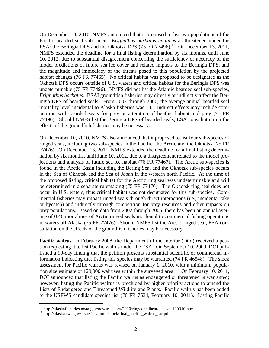On December 10, 2010, NMFS announced that it proposed to list two populations of the Pacific bearded seal sub-species *Erignathus barbatus nauticus* as threatened under the ESA: the Beringia DPS and the Okhotsk DPS  $(75 FR 77496)$ .<sup>[17](#page-13-0)</sup> On December 13, 2011, NMFS extended the deadline for a final listing determination by six months, until June 10, 2012, due to substantial disagreement concerning the sufficiency or accuracy of the model predictions of future sea ice cover and related impacts to the Beringia DPS, and the magnitude and immediacy of the threats posed to this population by the projected habitat changes (76 FR 77465). No critical habitat was proposed to be designated as the Okhotsk DPS occurs outside of U.S. waters and critical habitat for the Beringia DPS was undeterminable (75 FR 77496). NMFS did not list the Atlantic bearded seal sub-species, *Erignathus barbatus*. BSAI groundfish fisheries may directly or indirectly affect the Beringia DPS of bearded seals. From 2002 through 2006, the average annual bearded seal mortality level incidental to Alaska fisheries was 1.0. Indirect effects may include competition with bearded seals for prey or alteration of benthic habitat and prey (75 FR 77496). Should NMFS list the Beringia DPS of bearded seals, ESA consultation on the effects of the groundfish fisheries may be necessary.

On December 10, 2010, NMFS also announced that it proposed to list four sub-species of ringed seals, including two sub-species in the Pacific: the Arctic and the Okhotsk (75 FR 77476). On December 13, 2011, NMFS extended the deadline for a final listing determination by six months, until June 10, 2012, due to a disagreement related to the model projections and analysis of future sea ice habitat (76 FR 77467). The Arctic sub-species is found in the Arctic Basin including the Bering Sea, and the Okhotsk sub-species occurs in the Sea of Okhotsk and the Sea of Japan in the western north Pacific. At the time of the proposed listing, critical habitat for the Arctic ring seal was undeterminable and will be determined in a separate rulemaking (75 FR 77476). The Okhotsk ring seal does not occur in U.S. waters, thus critical habitat was not designated for this sub-species. Commercial fisheries may impact ringed seals through direct interactions (i.e., incidental take or bycatch) and indirectly through competition for prey resources and other impacts on prey populations. Based on data from 2002 through 2006, there has been an annual average of 0.46 mortalities of Arctic ringed seals incidental to commercial fishing operations in waters off Alaska (75 FR 77476). Should NMFS list the Arctic ringed seal, ESA consultation on the effects of the groundfish fisheries may be necessary.

**Pacific walrus** In February 2008, the Department of the Interior (DOI) received a petition requesting it to list Pacific walrus under the ESA. On September 10, 2009, DOI published a 90-day finding that the petition presents substantial scientific or commercial information indicating that listing this species may be warranted (74 FR 46548). The stock assessment for Pacific walrus was revised on January 1, 2010, with a minimum population size estimate of 129,000 walruses within the surveyed area.<sup>18</sup> On February 10, 2011, DOI announced that listing the Pacific walrus as endangered or threatened is warranted; however, listing the Pacific walrus is precluded by higher priority actions to amend the Lists of Endangered and Threatened Wildlife and Plants. Pacific walrus has been added to the USFWS candidate species list (76 FR 7634, February 10, 2011). Listing Pacific

 $\overline{a}$ 

<span id="page-13-0"></span><sup>&</sup>lt;sup>17</sup> http://alaskafisheries.noaa.gov/newsreleases/2010/ringedandbeardedseals120310.htm<br><sup>18</sup> http://alaska.fws.gov/fisheries/mmm/stock/final\_pacific\_walrus\_sar.pdf

<span id="page-13-1"></span>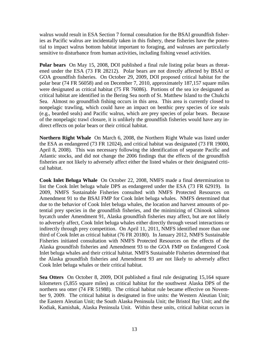walrus would result in ESA Section 7 formal consultation for the BSAI groundfish fisheries as Pacific walrus are incidentally taken in this fishery, these fisheries have the potential to impact walrus bottom habitat important to foraging, and walruses are particularly sensitive to disturbance from human activities, including fishing vessel activities.

**Polar bears** On May 15, 2008, DOI published a final rule listing polar bears as threatened under the ESA (73 FR 28212). Polar bears are not directly affected by BSAI or GOA groundfish fisheries. On October 29, 2009, DOI proposed critical habitat for the polar bear (74 FR 56058) and on December 7, 2010, approximately 187,157 square miles were designated as critical habitat (75 FR 76086). Portions of the sea ice designated as critical habitat are identified in the Bering Sea north of St. Matthew Island to the Chukchi Sea. Almost no groundfish fishing occurs in this area. This area is currently closed to nonpelagic trawling, which could have an impact on benthic prey species of ice seals (e.g., bearded seals) and Pacific walrus, which are prey species of polar bears. Because of the nonpelagic trawl closure, it is unlikely the groundfish fisheries would have any indirect effects on polar bears or their critical habitat.

**Northern Right Whale** On March 6, 2008, the Northern Right Whale was listed under the ESA as endangered (73 FR 12024), and critical habitat was designated (73 FR 19000, April 8, 2008). This was necessary following the identification of separate Pacific and Atlantic stocks, and did not change the 2006 findings that the effects of the groundfish fisheries are not likely to adversely affect either the listed whales or their designated critical habitat.

**Cook Inlet Beluga Whale** On October 22, 2008, NMFS made a final determination to list the Cook Inlet beluga whale DPS as endangered under the ESA (73 FR 62919). In 2009, NMFS Sustainable Fisheries consulted with NMFS Protected Resources on Amendment 91 to the BSAI FMP for Cook Inlet beluga whales. NMFS determined that due to the behavior of Cook Inlet beluga whales, the location and harvest amounts of potential prey species in the groundfish fisheries, and the minimizing of Chinook salmon bycatch under Amendment 91, Alaska groundfish fisheries may affect, but are not likely to adversely affect, Cook Inlet beluga whales either directly through vessel interactions or indirectly through prey competition. On April 11, 2011, NMFS identified more than one third of Cook Inlet as critical habitat (76 FR 20180). In January 2012, NMFS Sustainable Fisheries initiated consultation with NMFS Protected Resources on the effects of the Alaska groundfish fisheries and Amendment 93 to the GOA FMP on Endangered Cook Inlet beluga whales and their critical habitat. NMFS Sustainable Fisheries determined that the Alaska groundfish fisheries and Amendment 93 are not likely to adversely affect Cook Inlet beluga whales or their critical habitat.

**Sea Otters** On October 8, 2009, DOI published a final rule designating 15,164 square kilometers (5,855 square miles) as critical habitat for the southwest Alaska DPS of the northern sea otter (74 FR 51988). The critical habitat rule became effective on November 9, 2009. The critical habitat is designated in five units: the Western Aleutian Unit; the Eastern Aleutian Unit; the South Alaska Peninsula Unit; the Bristol Bay Unit; and the Kodiak, Kamishak, Alaska Peninsula Unit. Within these units, critical habitat occurs in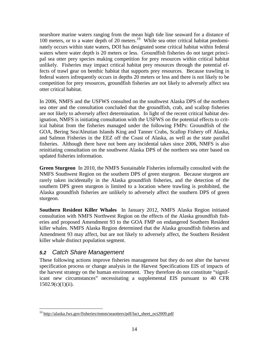nearshore marine waters ranging from the mean high tide line seaward for a distance of 100 meters, or to a water depth of 20 meters.<sup>19</sup> While sea otter critical habitat predominately occurs within state waters, DOI has designated some critical habitat within federal waters where water depth is 20 meters or less. Groundfish fisheries do not target principal sea otter prey species making competition for prey resources within critical habitat unlikely. Fisheries may impact critical habitat prey resources through the potential effects of trawl gear on benthic habitat that supports prey resources. Because trawling in federal waters infrequently occurs in depths 20 meters or less and there is not likely to be competition for prey resources, groundfish fisheries are not likely to adversely affect sea otter critical habitat.

In 2006, NMFS and the USFWS consulted on the southwest Alaska DPS of the northern sea otter and the consultation concluded that the groundfish, crab, and scallop fisheries are not likely to adversely affect determination. In light of the recent critical habitat designation, NMFS is initiating consultation with the USFWS on the potential effects to critical habitat from the fisheries managed under the following FMPs: Groundfish of the GOA, Bering Sea/Aleutian Islands King and Tanner Crabs, Scallop Fishery off Alaska, and Salmon Fisheries in the EEZ off the Coast of Alaska, as well as the state parallel fisheries. Although there have not been any incidental takes since 2006, NMFS is also reinitiating consultation on the southwest Alaska DPS of the northern sea otter based on updated fisheries information.

**Green Sturgeon** In 2010, the NMFS Sustainable Fisheries informally consulted with the NMFS Southwest Region on the southern DPS of green sturgeon. Because sturgeon are rarely taken incidentally in the Alaska groundfish fisheries, and the detection of the southern DPS green sturgeon is limited to a location where trawling is prohibited, the Alaska groundfish fisheries are unlikely to adversely affect the southern DPS of green sturgeon.

**Southern Resident Killer Whales** In January 2012, NMFS Alaska Region initiated consultation with NMFS Northwest Region on the effects of the Alaska groundfish fisheries and proposed Amendment 93 to the GOA FMP on endangered Southern Resident killer whales. NMFS Alaska Region determined that the Alaska groundfish fisheries and Amendment 93 may affect, but are not likely to adversely affect, the Southern Resident killer whale distinct population segment.

# <span id="page-15-0"></span>*5.2 Catch Share Management*

These following actions improve fisheries management but they do not alter the harvest specification process or change analysis in the Harvest Specifications EIS of impacts of the harvest strategy on the human environment. They therefore do not constitute "significant new circumstances" necessitating a supplemental EIS pursuant to 40 CFR  $1502.9(c)(1)(ii)$ .

<span id="page-15-1"></span> $\overline{a}$ <sup>19</sup> http://alaska.fws.gov/fisheries/mmm/seaotters/pdf/fact\_sheet\_oct2009.pdf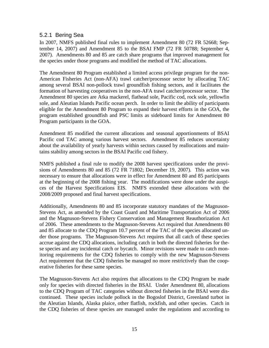#### <span id="page-16-0"></span>5.2.1 Bering Sea

In 2007, NMFS published final rules to implement Amendment 80 (72 FR 52668; September 14, 2007) and Amendment 85 to the BSAI FMP (72 FR 50788; September 4, 2007). Amendments 80 and 85 are catch share programs that improved management for the species under those programs and modified the method of TAC allocations.

The Amendment 80 Program established a limited access privilege program for the non-American Fisheries Act (non-AFA) trawl catcher/processor sector by allocating TAC among several BSAI non-pollock trawl groundfish fishing sectors, and it facilitates the formation of harvesting cooperatives in the non-AFA trawl catcher/processor sector. The Amendment 80 species are Atka mackerel, flathead sole, Pacific cod, rock sole, yellowfin sole, and Aleutian Islands Pacific ocean perch. In order to limit the ability of participants eligible for the Amendment 80 Program to expand their harvest efforts in the GOA, the program established groundfish and PSC limits as sideboard limits for Amendment 80 Program participants in the GOA.

Amendment 85 modified the current allocations and seasonal apportionments of BSAI Pacific cod TAC among various harvest sectors. Amendment 85 reduces uncertainty about the availability of yearly harvests within sectors caused by reallocations and maintains stability among sectors in the BSAI Pacific cod fishery.

NMFS published a final rule to modify the 2008 harvest specifications under the provisions of Amendments 80 and 85 (72 FR 71802; December 19, 2007). This action was necessary to ensure that allocations were in effect for Amendment 80 and 85 participants at the beginning of the 2008 fishing year. The modifications were done under the auspices of the Harvest Specifications EIS. NMFS extended these allocations with the 2008/2009 proposed and final harvest specifications.

Additionally, Amendments 80 and 85 incorporate statutory mandates of the Magnuson-Stevens Act, as amended by the Coast Guard and Maritime Transportation Act of 2006 and the Magnuson-Stevens Fishery Conservation and Management Reauthorization Act of 2006. These amendments to the Magnuson-Stevens Act required that Amendments 80 and 85 allocate to the CDQ Program 10.7 percent of the TAC of the species allocated under those programs. The Magnuson-Stevens Act requires that all catch of these species accrue against the CDQ allocations, including catch in both the directed fisheries for these species and any incidental catch or bycatch. Minor revisions were made to catch monitoring requirements for the CDQ fisheries to comply with the new Magnuson-Stevens Act requirement that the CDQ fisheries be managed no more restrictively than the cooperative fisheries for these same species.

The Magnuson-Stevens Act also requires that allocations to the CDQ Program be made only for species with directed fisheries in the BSAI. Under Amendment 80, allocations to the CDQ Program of TAC categories without directed fisheries in the BSAI were discontinued. These species include pollock in the Bogoslof District, Greenland turbot in the Aleutian Islands, Alaska plaice, other flatfish, rockfish, and other species. Catch in the CDQ fisheries of these species are managed under the regulations and according to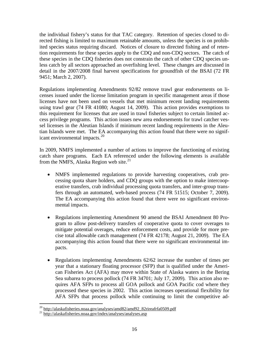the individual fishery's status for that TAC category. Retention of species closed to directed fishing is limited to maximum retainable amounts, unless the species is on prohibited species status requiring discard. Notices of closure to directed fishing and of retention requirements for these species apply to the CDQ and non-CDQ sectors. The catch of these species in the CDQ fisheries does not constrain the catch of other CDQ species unless catch by all sectors approached an overfishing level. These changes are discussed in detail in the 2007/2008 final harvest specifications for groundfish of the BSAI (72 FR 9451; March 2, 2007).

icant environmental impacts.<sup>[20](#page-17-0)</sup> Regulations implementing Amendments 92/82 remove trawl gear endorsements on licenses issued under the license limitation program in specific management areas if those licenses have not been used on vessels that met minimum recent landing requirements using trawl gear (74 FR 41080; August 14, 2009). This action provides exemptions to this requirement for licenses that are used in trawl fisheries subject to certain limited access privilege programs. This action issues new area endorsements for trawl catcher vessel licenses in the Aleutian Islands if minimum recent landing requirements in the Aleutian Islands were met.The EA accompanying this action found that there were no signif-

In 2009, NMFS implemented a number of actions to improve the functioning of existing catch share programs. Each EA referenced under the following elements is available from the NMFS, Alaska Region web site. $^{21}$  $^{21}$  $^{21}$ 

- NMFS implemented regulations to provide harvesting cooperatives, crab processing quota share holders, and CDQ groups with the option to make intercooperative transfers, crab individual processing quota transfers, and inter-group transfers through an automated, web-based process (74 FR 51515; October 7, 2009). The EA accompanying this action found that there were no significant environmental impacts.
- Regulations implementing Amendment 90 amend the BSAI Amendment 80 Program to allow post-delivery transfers of cooperative quota to cover overages to mitigate potential overages, reduce enforcement costs, and provide for more precise total allowable catch management (74 FR 42178; August 21, 2009). The EA accompanying this action found that there were no significant environmental impacts.
- Regulations implementing Amendments 62/62 increase the number of times per year that a stationary floating processor (SFP) that is qualified under the American Fisheries Act (AFA) may move within State of Alaska waters in the Bering Sea subarea to process pollock (74 FR 34701; July 17, 2009). This action also requires AFA SFPs to process all GOA pollock and GOA Pacific cod where they processed these species in 2002. This action increases operational flexibility for AFA SFPs that process pollock while continuing to limit the competitive ad-

<span id="page-17-0"></span> $\overline{a}$ <sup>20</sup> http://alaskafisheries.noaa.gov/analyses/amd82/amd92\_82rireafrfa0509.pdf<br><sup>21</sup> http://alaskafisheries.noaa.gov/index/analyses/analyses.asp

<span id="page-17-1"></span>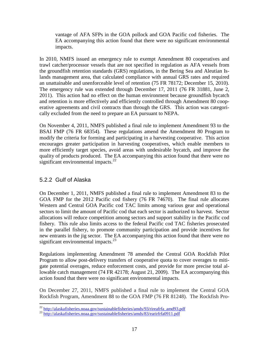vantage of AFA SFPs in the GOA pollock and GOA Pacific cod fisheries. The EA accompanying this action found that there were no significant environmental impacts.

In 2010, NMFS issued an emergency rule to exempt Amendment 80 cooperatives and trawl catcher/processor vessels that are not specified in regulation as AFA vessels from the groundfish retention standards (GRS) regulations, in the Bering Sea and Aleutian Islands management area, that calculated compliance with annual GRS rates and required an unattainable and unenforceable level of retention (75 FR 78172; December 15, 2010). The emergency rule was extended through December 17, 2011 (76 FR 31881, June 2, 2011). This action had no effect on the human environment because groundfish bycatch and retention is more effectively and efficiently controlled through Amendment 80 cooperative agreements and civil contracts than through the GRS. This action was categorically excluded from the need to prepare an EA pursuant to NEPA.

On November 4, 2011, NMFS published a final rule to implement Amendment 93 to the BSAI FMP (76 FR 68354). These regulations amend the Amendment 80 Program to modify the criteria for forming and participating in a harvesting cooperative. This action encourages greater participation in harvesting cooperatives, which enable members to more efficiently target species, avoid areas with undesirable bycatch, and improve the quality of products produced. The EA accompanying this action found that there were no significant environmental impacts. $^{22}$  $^{22}$  $^{22}$ 

# <span id="page-18-0"></span>5.2.2 Gulf of Alaska

On December 1, 2011, NMFS published a final rule to implement Amendment 83 to the GOA FMP for the 2012 Pacific cod fishery (76 FR 74670). The final rule allocates Western and Central GOA Pacific cod TAC limits among various gear and operational sectors to limit the amount of Pacific cod that each sector is authorized to harvest. Sector allocations will reduce competition among sectors and support stability in the Pacific cod fishery. This rule also limits access to the federal Pacific cod TAC fisheries prosecuted in the parallel fishery, to promote community participation and provide incentives for new entrants in the jig sector. The EA accompanying this action found that there were no significant environmental impacts. $^{23}$  $^{23}$  $^{23}$ 

Regulations implementing Amendment 78 amended the Central GOA Rockfish Pilot Program to allow post-delivery transfers of cooperative quota to cover overages to mitigate potential overages, reduce enforcement costs, and provide for more precise total allowable catch management (74 FR 42178; August 21, 2009). The EA accompanying this action found that there were no significant environmental impacts.

On December 27, 2011, NMFS published a final rule to implement the Central GOA Rockfish Program, Amendment 88 to the GOA FMP (76 FR 81248). The Rockfish Pro-

<span id="page-18-1"></span><sup>&</sup>lt;sup>22</sup> http://alaskafisheries.noaa.gov/sustainablefisheries/amds/93/rireafrfa\_amd93.pdf

<span id="page-18-2"></span> $^{23}$  <http://alaskafisheries.noaa.gov/sustainablefisheries/amds/83/earirfrfa0911.pdf>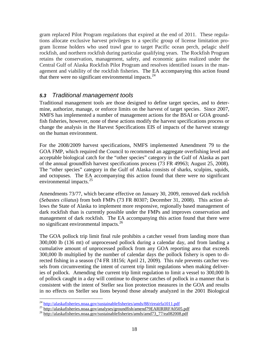gram replaced Pilot Program regulations that expired at the end of 2011. These regulations allocate exclusive harvest privileges to a specific group of license limitation program license holders who used trawl gear to target Pacific ocean perch, pelagic shelf rockfish, and northern rockfish during particular qualifying years. The Rockfish Program retains the conservation, management, safety, and economic gains realized under the Central Gulf of Alaska Rockfish Pilot Program and resolves identified issues in the management and viability of the rockfish fisheries. The EA accompanying this action found that there were no significant environmental impacts. $24$ 

# <span id="page-19-0"></span>*5.3 Traditional management tools*

Traditional management tools are those designed to define target species, and to determine, authorize, manage, or enforce limits on the harvest of target species. Since 2007, NMFS has implemented a number of management actions for the BSAI or GOA groundfish fisheries, however, none of these actions modify the harvest specifications process or change the analysis in the Harvest Specifications EIS of impacts of the harvest strategy on the human environment.

For the 2008/2009 harvest specifications, NMFS implemented Amendment 79 to the GOA FMP, which required the Council to recommend an aggregate overfishing level and acceptable biological catch for the "other species" category in the Gulf of Alaska as part of the annual groundfish harvest specifications process (73 FR 49963; August 25, 2008). The "other species" category in the Gulf of Alaska consists of sharks, sculpins, squids, and octopuses. The EA accompanying this action found that there were no significant environmental impacts.<sup>[25](#page-19-2)</sup>

Amendments 73/77, which became effective on January 30, 2009, removed dark rockfish (*Sebastes ciliatus*) from both FMPs (73 FR 80307; December 31, 2008). This action allows the State of Alaska to implement more responsive, regionally based management of dark rockfish than is currently possible under the FMPs and improves conservation and management of dark rockfish. The EA accompanying this action found that there were no significant environmental impacts.<sup>[26](#page-19-3)</sup>

The GOA pollock trip limit final rule prohibits a catcher vessel from landing more than 300,000 lb (136 mt) of unprocessed pollock during a calendar day, and from landing a cumulative amount of unprocessed pollock from any GOA reporting area that exceeds 300,000 lb multiplied by the number of calendar days the pollock fishery is open to directed fishing in a season (74 FR 18156; April 21, 2009). This rule prevents catcher vessels from circumventing the intent of current trip limit regulations when making deliveries of pollock. Amending the current trip limit regulation to limit a vessel to 300,000 lb of pollock caught in a day will continue to disperse catches of pollock in a manner that is consistent with the intent of Steller sea lion protection measures in the GOA and results in no effects on Steller sea lions beyond those already analyzed in the 2001 Biological

<span id="page-19-1"></span><sup>&</sup>lt;sup>24</sup> http://alaskafisheries.noaa.gov/sustainablefisheries/amds/88/rireairfa1011.pdf

<span id="page-19-3"></span><span id="page-19-2"></span> $^{25}$  http://alaskafisheries.noaa.gov/analyses/groundfish/amend79EARIRIRFA0505.pdf<br> $^{26}$  http://alaskafisheries.noaa.gov/sustainablefisheries/amds/amd73\_77/ea082008.pdf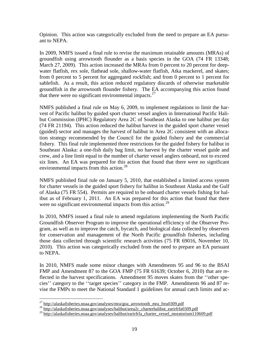Opinion. This action was categorically excluded from the need to prepare an EA pursuant to NEPA.

In 2009, NMFS issued a final rule to revise the maximum retainable amounts (MRAs) of groundfish using arrowtooth flounder as a basis species in the GOA (74 FR 13348; March 27, 2009). This action increased the MRAs from 0 percent to 20 percent for deepwater flatfish, rex sole, flathead sole, shallow-water flatfish, Atka mackerel, and skates; from 0 percent to 5 percent for aggregated rockfish; and from 0 percent to 1 percent for sablefish. As a result, this action reduced regulatory discards of otherwise marketable groundfish in the arrowtooth flounder fishery. The EA accompanying this action found that there were no significant environmental impacts. $27$ 

NMFS published a final rule on May 6, 2009, to implement regulations to limit the harvest of Pacific halibut by guided sport charter vessel anglers in International Pacific Halibut Commission (IPHC) Regulatory Area 2C of Southeast Alaska to one halibut per day (74 FR 21194). This action reduced the halibut harvest in the guided sport charter vessel (guided) sector and manages the harvest of halibut in Area 2C consistent with an allocation strategy recommended by the Council for the guided fishery and the commercial fishery. This final rule implemented three restrictions for the guided fishery for halibut in Southeast Alaska: a one-fish daily bag limit, no harvest by the charter vessel guide and crew, and a line limit equal to the number of charter vessel anglers onboard, not to exceed six lines. An EA was prepared for this action that found that there were no significant environmental impacts from this action.<sup>[28](#page-20-1)</sup>

NMFS published final rule on January 5, 2010, that established a limited access system for charter vessels in the guided sport fishery for halibut in Southeast Alaska and the Gulf of Alaska (75 FR 554). Permits are required to be onboard charter vessels fishing for halibut as of February 1, 2011. An EA was prepared for this action that found that there were no significant environmental impacts from this action.<sup>[29](#page-20-2)</sup>

In 2010, NMFS issued a final rule to amend regulations implementing the North Pacific Groundfish Observer Program to improve the operational efficiency of the Observer Program, as well as to improve the catch, bycatch, and biological data collected by observers for conservation and management of the North Pacific groundfish fisheries, including those data collected through scientific research activities (75 FR 69016, November 10, 2010). This action was categorically excluded from the need to prepare an EA pursuant to NEPA.

In 2010, NMFS made some minor changes with Amendments 95 and 96 to the BSAI FMP and Amendment 87 to the GOA FMP (75 FR 61639; October 6, 2010) that are reflected in the harvest specifications. Amendment 95 moves skates from the ''other species'' category to the ''target species'' category in the FMP. Amendments 96 and 87 revise the FMPs to meet the National Standard 1 guidelines for annual catch limits and ac-

<span id="page-20-0"></span> $^{27}$  http://alaskafisheries.noaa.gov/analyses/mra/goa\_arrowtooth\_mra\_frea0309.pdf

<span id="page-20-1"></span> $28$  http://alaskafisheries.noaa.gov/analyses/halibut/area2c\_charterhalibut\_earirfrfa0309.pdf

<span id="page-20-2"></span><sup>&</sup>lt;sup>29</sup> http://alaskafisheries.noaa.gov/analyses/halibut/earirfrfa\_charter\_vessel\_moratorium110609.pdf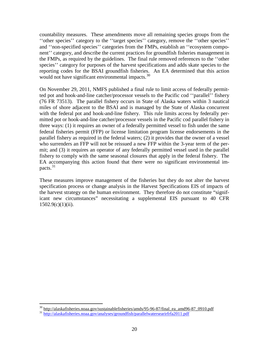countability measures. These amendments move all remaining species groups from the ''other species'' category to the ''target species'' category, remove the ''other species'' and ''non-specified species'' categories from the FMPs, establish an ''ecosystem component'' category, and describe the current practices for groundfish fisheries management in the FMPs, as required by the guidelines. The final rule removed references to the ''other species'' category for purposes of the harvest specifications and adds skate species to the reporting codes for the BSAI groundfish fisheries. An EA determined that this action would not have significant environmental impacts.<sup>30</sup>

On November 29, 2011, NMFS published a final rule to limit access of federally permitted pot and hook-and-line catcher/processor vessels to the Pacific cod ''parallel'' fishery (76 FR 73513). The parallel fishery occurs in State of Alaska waters within 3 nautical miles of shore adjacent to the BSAI and is managed by the State of Alaska concurrent with the federal pot and hook-and-line fishery. This rule limits access by federally permitted pot or hook-and-line catcher/processor vessels in the Pacific cod parallel fishery in three ways: (1) it requires an owner of a federally permitted vessel to fish under the same federal fisheries permit (FFP) or license limitation program license endorsements in the parallel fishery as required in the federal waters; (2) it provides that the owner of a vessel who surrenders an FFP will not be reissued a new FFP within the 3-year term of the permit; and (3) it requires an operator of any federally permitted vessel used in the parallel fishery to comply with the same seasonal closures that apply in the federal fishery. The EA accompanying this action found that there were no significant environmental impacts. $31$ 

These measures improve management of the fisheries but they do not alter the harvest specification process or change analysis in the Harvest Specifications EIS of impacts of the harvest strategy on the human environment. They therefore do not constitute "significant new circumstances" necessitating a supplemental EIS pursuant to 40 CFR  $1502.9(c)(1)(ii)$ .

 $\overline{a}$ 

<span id="page-21-0"></span><sup>&</sup>lt;sup>30</sup> http://alaskafisheries.noaa.gov/sustainablefisheries/amds/95-96-87/final\_ea\_amd96-87\_0910.pdf<br><sup>31</sup> <http://alaskafisheries.noaa.gov/analyses/groundfish/parallelwatersearirfrfa2011.pdf>

<span id="page-21-1"></span>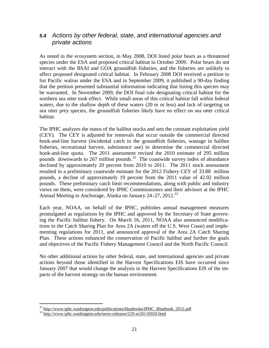# <span id="page-22-0"></span>*5.4 Actions by other federal, state, and international agencies and private actions*

As noted in the ecosystem section, in May 2008, DOI listed polar bears as a threatened species under the ESA and proposed critical habitat in October 2009. Polar bears do not interact with the BSAI and GOA groundfish fisheries, and the fisheries are unlikely to affect proposed designated critical habitat. In February 2008 DOI received a petition to list Pacific walrus under the ESA and in September 2009, it published a 90-day finding that the petition presented substantial information indicating that listing this species may be warranted. In November 2009, the DOI final rule designating critical habitat for the northern sea otter took effect. While small areas of this critical habitat fall within federal waters, due to the shallow depth of these waters (20 m or less) and lack of targeting on sea otter prey species, the groundfish fisheries likely have no effect on sea otter critical habitat.

The IPHC analyzes the status of the halibut stocks and sets the constant exploitation yield (CEY). The CEY is adjusted for removals that occur outside the commercial directed hook-and-line harvest (incidental catch in the groundfish fisheries, wastage in halibut fisheries, recreational harvest, subsistence use) to determine the commercial directed hook-and-line quota. The 2011 assessment revised the 2010 estimate of 295 million pounds downwards to 267 million pounds.<sup>32</sup> The coastwide survey index of abundance declined by approximately 20 percent from 2010 to 2011. The 2011 stock assessment resulted in a preliminary coastwide estimate for the 2012 Fishery CEY of 33.88 million pounds, a decline of approximately 19 percent from the 2011 value of 42.02 million pounds. These preliminary catch limit recommendations, along with public and industry views on them, were considered by IPHC Commissioners and their advisors at the IPHC Annual Meeting in Anchorage, Alaska on January  $24-27$ ,  $2012$ <sup>[33](#page-22-2)</sup>

Each year, NOAA, on behalf of the IPHC, publishes annual management measures promulgated as regulations by the IPHC and approved by the Secretary of State governing the Pacific halibut fishery. On March 16, 2011, NOAA also announced modifications to the Catch Sharing Plan for Area 2A (waters off the U.S. West Coast) and implementing regulations for 2011, and announced approval of the Area 2A Catch Sharing Plan. These actions enhanced the conservation of Pacific halibut and further the goals and objectives of the Pacific Fishery Management Council and the North Pacific Council.

No other additional actions by other federal, state, and international agencies and private actions beyond those identified in the Harvest Specifications EIS have occurred since January 2007 that would change the analysis in the Harvest Specifications EIS of the impacts of the harvest strategy on the human environment.

 $\overline{a}$ 

<span id="page-22-1"></span><sup>&</sup>lt;sup>32</sup> http://www.iphc.washington.edu/publications/bluebooks/IPHC\_Bluebook\_2012.pdf<br><sup>33</sup> http://www.iphc.washington.edu/news-releases/229-nr20110920.html

<span id="page-22-2"></span>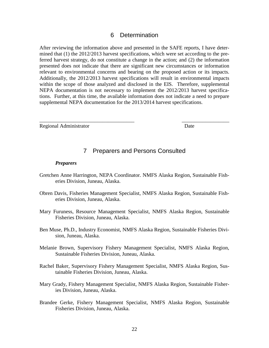#### 6 Determination

<span id="page-23-0"></span>After reviewing the information above and presented in the SAFE reports, I have determined that (1) the 2012/2013 harvest specifications, which were set according to the preferred harvest strategy, do not constitute a change in the action; and (2) the information presented does not indicate that there are significant new circumstances or information relevant to environmental concerns and bearing on the proposed action or its impacts. Additionally, the 2012/2013 harvest specifications will result in environmental impacts within the scope of those analyzed and disclosed in the EIS. Therefore, supplemental NEPA documentation is not necessary to implement the 2012/2013 harvest specifications. Further, at this time, the available information does not indicate a need to prepare supplemental NEPA documentation for the 2013/2014 harvest specifications.

Regional Administrator Date

# 7 Preparers and Persons Consulted

\_\_\_\_\_\_\_\_\_\_\_\_\_\_\_\_\_\_\_\_\_\_\_\_\_\_\_\_\_\_\_\_\_\_\_\_ \_\_\_\_\_\_\_\_\_\_\_\_\_\_\_\_\_\_

#### <span id="page-23-1"></span>*Preparers*

- Gretchen Anne Harrington, NEPA Coordinator. NMFS Alaska Region, Sustainable Fisheries Division, Juneau, Alaska.
- Obren Davis, Fisheries Management Specialist, NMFS Alaska Region, Sustainable Fisheries Division, Juneau, Alaska.
- Mary Furuness, Resource Management Specialist, NMFS Alaska Region, Sustainable Fisheries Division, Juneau, Alaska.
- Ben Muse, Ph.D., Industry Economist, NMFS Alaska Region, Sustainable Fisheries Division, Juneau, Alaska.
- Melanie Brown, Supervisory Fishery Management Specialist, NMFS Alaska Region, Sustainable Fisheries Division, Juneau, Alaska.
- Rachel Baker, Supervisory Fishery Management Specialist, NMFS Alaska Region, Sustainable Fisheries Division, Juneau, Alaska.
- Mary Grady, Fishery Management Specialist, NMFS Alaska Region, Sustainable Fisheries Division, Juneau, Alaska.
- Brandee Gerke, Fishery Management Specialist, NMFS Alaska Region, Sustainable Fisheries Division, Juneau, Alaska.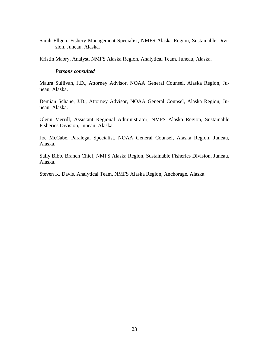Sarah Ellgen, Fishery Management Specialist, NMFS Alaska Region, Sustainable Division, Juneau, Alaska.

Kristin Mabry, Analyst, NMFS Alaska Region, Analytical Team, Juneau, Alaska.

#### *Persons consulted*

Maura Sullivan, J.D., Attorney Advisor, NOAA General Counsel, Alaska Region, Juneau, Alaska.

Demian Schane, J.D., Attorney Advisor, NOAA General Counsel, Alaska Region, Juneau, Alaska.

Glenn Merrill, Assistant Regional Administrator, NMFS Alaska Region, Sustainable Fisheries Division, Juneau, Alaska.

Joe McCabe, Paralegal Specialist, NOAA General Counsel, Alaska Region, Juneau, Alaska.

Sally Bibb, Branch Chief, NMFS Alaska Region, Sustainable Fisheries Division, Juneau, Alaska.

Steven K. Davis, Analytical Team, NMFS Alaska Region, Anchorage, Alaska.